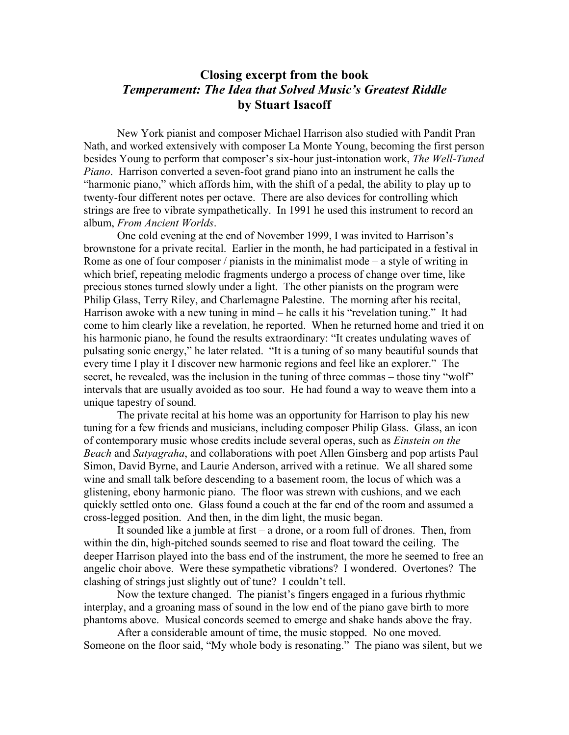## **Closing excerpt from the book** *Temperament: The Idea that Solved Music's Greatest Riddle* **by Stuart Isacoff**

New York pianist and composer Michael Harrison also studied with Pandit Pran Nath, and worked extensively with composer La Monte Young, becoming the first person besides Young to perform that composer's six-hour just-intonation work, *The Well-Tuned Piano*. Harrison converted a seven-foot grand piano into an instrument he calls the "harmonic piano," which affords him, with the shift of a pedal, the ability to play up to twenty-four different notes per octave. There are also devices for controlling which strings are free to vibrate sympathetically. In 1991 he used this instrument to record an album, *From Ancient Worlds*.

One cold evening at the end of November 1999, I was invited to Harrison's brownstone for a private recital. Earlier in the month, he had participated in a festival in Rome as one of four composer / pianists in the minimalist mode – a style of writing in which brief, repeating melodic fragments undergo a process of change over time, like precious stones turned slowly under a light. The other pianists on the program were Philip Glass, Terry Riley, and Charlemagne Palestine. The morning after his recital, Harrison awoke with a new tuning in mind – he calls it his "revelation tuning." It had come to him clearly like a revelation, he reported. When he returned home and tried it on his harmonic piano, he found the results extraordinary: "It creates undulating waves of pulsating sonic energy," he later related. "It is a tuning of so many beautiful sounds that every time I play it I discover new harmonic regions and feel like an explorer." The secret, he revealed, was the inclusion in the tuning of three commas – those tiny "wolf" intervals that are usually avoided as too sour. He had found a way to weave them into a unique tapestry of sound.

The private recital at his home was an opportunity for Harrison to play his new tuning for a few friends and musicians, including composer Philip Glass. Glass, an icon of contemporary music whose credits include several operas, such as *Einstein on the Beach* and *Satyagraha*, and collaborations with poet Allen Ginsberg and pop artists Paul Simon, David Byrne, and Laurie Anderson, arrived with a retinue. We all shared some wine and small talk before descending to a basement room, the locus of which was a glistening, ebony harmonic piano. The floor was strewn with cushions, and we each quickly settled onto one. Glass found a couch at the far end of the room and assumed a cross-legged position. And then, in the dim light, the music began.

It sounded like a jumble at first – a drone, or a room full of drones. Then, from within the din, high-pitched sounds seemed to rise and float toward the ceiling. The deeper Harrison played into the bass end of the instrument, the more he seemed to free an angelic choir above. Were these sympathetic vibrations? I wondered. Overtones? The clashing of strings just slightly out of tune? I couldn't tell.

Now the texture changed. The pianist's fingers engaged in a furious rhythmic interplay, and a groaning mass of sound in the low end of the piano gave birth to more phantoms above. Musical concords seemed to emerge and shake hands above the fray.

After a considerable amount of time, the music stopped. No one moved. Someone on the floor said, "My whole body is resonating." The piano was silent, but we